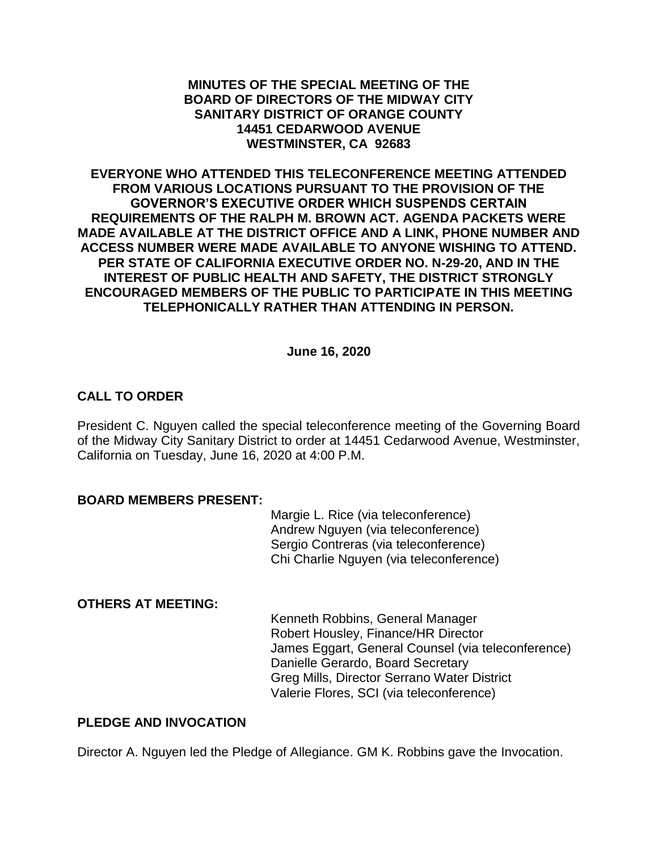### **MINUTES OF THE SPECIAL MEETING OF THE BOARD OF DIRECTORS OF THE MIDWAY CITY SANITARY DISTRICT OF ORANGE COUNTY 14451 CEDARWOOD AVENUE WESTMINSTER, CA 92683**

**EVERYONE WHO ATTENDED THIS TELECONFERENCE MEETING ATTENDED FROM VARIOUS LOCATIONS PURSUANT TO THE PROVISION OF THE GOVERNOR'S EXECUTIVE ORDER WHICH SUSPENDS CERTAIN REQUIREMENTS OF THE RALPH M. BROWN ACT. AGENDA PACKETS WERE MADE AVAILABLE AT THE DISTRICT OFFICE AND A LINK, PHONE NUMBER AND ACCESS NUMBER WERE MADE AVAILABLE TO ANYONE WISHING TO ATTEND. PER STATE OF CALIFORNIA EXECUTIVE ORDER NO. N-29-20, AND IN THE INTEREST OF PUBLIC HEALTH AND SAFETY, THE DISTRICT STRONGLY ENCOURAGED MEMBERS OF THE PUBLIC TO PARTICIPATE IN THIS MEETING TELEPHONICALLY RATHER THAN ATTENDING IN PERSON.**

**June 16, 2020**

# **CALL TO ORDER**

President C. Nguyen called the special teleconference meeting of the Governing Board of the Midway City Sanitary District to order at 14451 Cedarwood Avenue, Westminster, California on Tuesday, June 16, 2020 at 4:00 P.M.

### **BOARD MEMBERS PRESENT:**

Margie L. Rice (via teleconference) Andrew Nguyen (via teleconference) Sergio Contreras (via teleconference) Chi Charlie Nguyen (via teleconference)

# **OTHERS AT MEETING:**

Kenneth Robbins, General Manager Robert Housley, Finance/HR Director James Eggart, General Counsel (via teleconference) Danielle Gerardo, Board Secretary Greg Mills, Director Serrano Water District Valerie Flores, SCI (via teleconference)

# **PLEDGE AND INVOCATION**

Director A. Nguyen led the Pledge of Allegiance. GM K. Robbins gave the Invocation.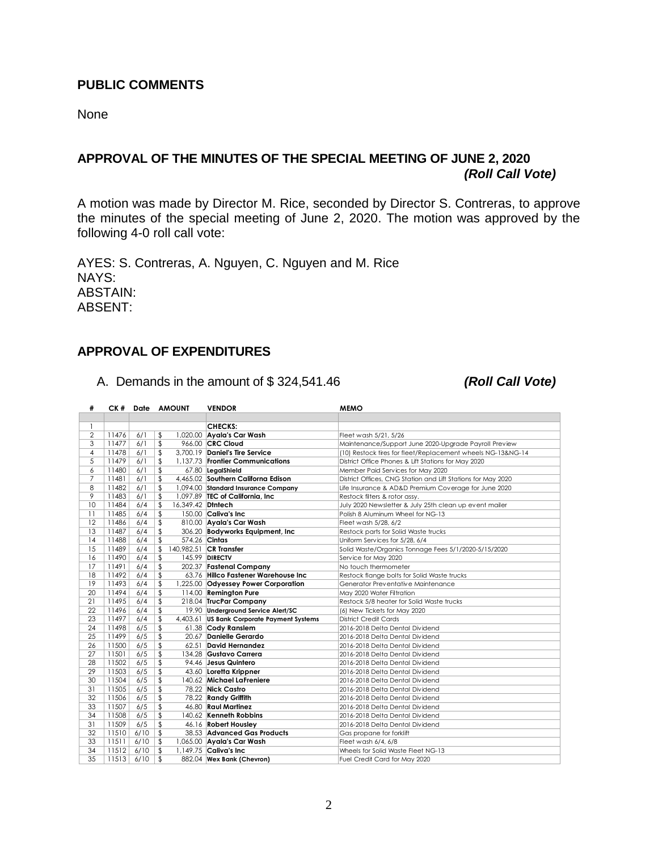### **PUBLIC COMMENTS**

None

# **APPROVAL OF THE MINUTES OF THE SPECIAL MEETING OF JUNE 2, 2020** *(Roll Call Vote)*

A motion was made by Director M. Rice, seconded by Director S. Contreras, to approve the minutes of the special meeting of June 2, 2020. The motion was approved by the following 4-0 roll call vote:

AYES: S. Contreras, A. Nguyen, C. Nguyen and M. Rice NAYS: ABSTAIN: ABSENT:

### **APPROVAL OF EXPENDITURES**

A. Demands in the amount of \$ 324,541.46 *(Roll Call Vote)*

| #              | CK #  |      | Date AMOUNT             | <b>VENDOR</b>                              | <b>MEMO</b>                                                  |
|----------------|-------|------|-------------------------|--------------------------------------------|--------------------------------------------------------------|
|                |       |      |                         |                                            |                                                              |
| 1              |       |      |                         | <b>CHECKS:</b>                             |                                                              |
| $\overline{2}$ | 11476 | 6/1  | \$                      | 1,020.00 Ayala's Car Wash                  | Fleet wash 5/21, 5/26                                        |
| 3              | 11477 | 6/1  | \$                      | 966.00 CRC Cloud                           | Maintenance/Support June 2020-Upgrade Payroll Preview        |
| 4              | 11478 | 6/1  | \$                      | 3.700.19 Daniel's Tire Service             | (10) Restock tires for fleet/Replacement wheels NG-13&NG-14  |
| 5              | 11479 | 6/1  | \$                      | 1,137.73 Frontier Communications           | District Office Phones & Lift Stations for May 2020          |
| 6              | 11480 | 6/1  | \$                      | 67.80 LegalShield                          | Member Paid Services for May 2020                            |
| $\overline{7}$ | 11481 | 6/1  | \$                      | 4,465.02 Southern Californa Edison         | District Offices, CNG Station and Lift Stations for May 2020 |
| 8              | 11482 | 6/1  | \$                      | 1,094.00 Standard Insurance Company        | Life Insurance & AD&D Premium Coverage for June 2020         |
| 9              | 11483 | 6/1  | \$                      | 1,097.89 TEC of California, Inc            | Restock filters & rotor assy.                                |
| 10             | 11484 | 6/4  | \$<br>16,349.42 Diniech |                                            | July 2020 Newsletter & July 25th clean up event mailer       |
| 11             | 11485 | 6/4  | \$                      | 150.00 Caliva's Inc                        | Polish 8 Aluminum Wheel for NG-13                            |
| 12             | 11486 | 6/4  | \$                      | 810.00 Ayala's Car Wash                    | Fleet wash 5/28, 6/2                                         |
| 13             | 11487 | 6/4  | \$                      | 306.20 Bodyworks Equipment, Inc.           | Restock parts for Solid Waste trucks                         |
| 14             | 11488 | 6/4  | \$                      | 574.26 Cintas                              | Uniform Services for 5/28, 6/4                               |
| 15             | 11489 | 6/4  | \$                      | 140.982.51 CR Transfer                     | Solid Waste/Organics Tonnage Fees 5/1/2020-5/15/2020         |
| 16             | 11490 | 6/4  | \$                      | 145.99 DIRECTV                             | Service for May 2020                                         |
| 17             | 11491 | 6/4  | \$                      | 202.37 Fastenal Company                    | No touch thermometer                                         |
| 18             | 11492 | 6/4  | \$                      | 63.76 Hillco Fastener Warehouse Inc        | Restock flange bolts for Solid Waste trucks                  |
| 19             | 11493 | 6/4  | \$                      | 1,225.00 Odyessey Power Corporation        | Generator Preventative Maintenance                           |
| 20             | 11494 | 6/4  | \$                      | 114.00 Remington Pure                      | May 2020 Water Filtration                                    |
| 21             | 11495 | 6/4  | \$                      | 218.04 TrucPar Company                     | Restock 5/8 heater for Solid Waste trucks                    |
| 22             | 11496 | 6/4  | \$                      | 19.90 Underground Service Alert/SC         | (6) New Tickets for May 2020                                 |
| 23             | 11497 | 6/4  | \$                      | 4,403.61 US Bank Corporate Payment Systems | <b>District Credit Cards</b>                                 |
| 24             | 11498 | 6/5  | \$                      | 61.38 Cody Ranslem                         | 2016-2018 Delta Dental Dividend                              |
| 25             | 11499 | 6/5  | \$                      | 20.67 Danielle Gerardo                     | 2016-2018 Delta Dental Dividend                              |
| 26             | 11500 | 6/5  | \$                      | 62.51 David Hernandez                      | 2016-2018 Delta Dental Dividend                              |
| 27             | 11501 | 6/5  | \$                      | 134.28 Gustavo Carrera                     | 2016-2018 Delta Dental Dividend                              |
| 28             | 11502 | 6/5  | \$                      | 94.46 Jesus Quintero                       | 2016-2018 Delta Dental Dividend                              |
| 29             | 11503 | 6/5  | \$                      | 43.60 Loretta Krippner                     | 2016-2018 Delta Dental Dividend                              |
| 30             | 11504 | 6/5  | \$                      | 140.62 Michael LaFreniere                  | 2016-2018 Delta Dental Dividend                              |
| 31             | 11505 | 6/5  | \$                      | 78.22 Nick Castro                          | 2016-2018 Delta Dental Dividend                              |
| 32             | 11506 | 6/5  | \$                      | 78.22 Randy Griffith                       | 2016-2018 Delta Dental Dividend                              |
| 33             | 11507 | 6/5  | \$                      | 46.80 Raul Martinez                        | 2016-2018 Delta Dental Dividend                              |
| 34             | 11508 | 6/5  | \$                      | 140.62 Kenneth Robbins                     | 2016-2018 Delta Dental Dividend                              |
| 31             | 11509 | 6/5  | \$                      | 46.16 Robert Housley                       | 2016-2018 Delta Dental Dividend                              |
| 32             | 11510 | 6/10 | \$                      | 38.53 Advanced Gas Products                | Gas propane for forklift                                     |
| 33             | 11511 | 6/10 | \$                      | 1,065.00 Ayala's Car Wash                  | Fleet wash 6/4, 6/8                                          |
| 34             | 11512 | 6/10 | \$                      | $1.149.75$ Caliva's Inc                    | Wheels for Solid Waste Fleet NG-13                           |
| 35             | 11513 | 6/10 | \$                      | 882.04 Wex Bank (Chevron)                  | Fuel Credit Card for May 2020                                |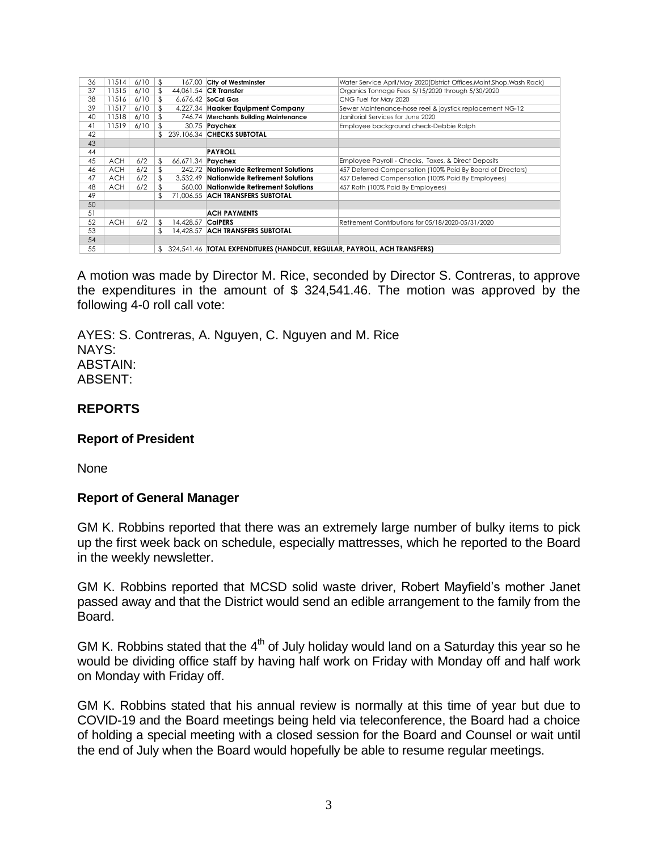| 36 | 11514      | 6/10 | \$  |                          | 167.00 City of Westminster                                                 | Water Service April/May 2020(District Offices, Maint. Shop, Wash Rack) |  |
|----|------------|------|-----|--------------------------|----------------------------------------------------------------------------|------------------------------------------------------------------------|--|
| 37 | 11515      | 6/10 | \$. |                          | 44.061.54 CR Transfer                                                      | Organics Tonnage Fees 5/15/2020 through 5/30/2020                      |  |
| 38 | 11516      | 6/10 |     |                          | 6.676.42 SoCal Gas                                                         | CNG Fuel for May 2020                                                  |  |
| 39 | 11517      | 6/10 | \$  |                          | 4,227.34 Haaker Equipment Company                                          | Sewer Maintenance-hose reel & joystick replacement NG-12               |  |
| 40 | 11518      | 6/10 |     |                          | 746.74 Merchants Building Maintenance                                      | Janitorial Services for June 2020                                      |  |
| 41 | 11519      | 6/10 |     |                          | 30.75 <b>Paychex</b>                                                       | Employee background check-Debbie Ralph                                 |  |
| 42 |            |      |     |                          | 239.106.34 CHECKS SUBTOTAL                                                 |                                                                        |  |
| 43 |            |      |     |                          |                                                                            |                                                                        |  |
| 44 |            |      |     |                          | PAYROLL                                                                    |                                                                        |  |
| 45 | <b>ACH</b> | 6/2  |     | 66,671.34 <b>Paychex</b> |                                                                            | Employee Payroll - Checks, Taxes, & Direct Deposits                    |  |
| 46 | <b>ACH</b> | 6/2  |     |                          | 242.72 Nationwide Retirement Solutions                                     | 457 Deferred Compensation (100% Paid By Board of Directors)            |  |
| 47 | <b>ACH</b> | 6/2  |     |                          | 3.532.49 Nationwide Retirement Solutions                                   | 457 Deferred Compensation (100% Paid By Employees)                     |  |
| 48 | <b>ACH</b> | 6/2  |     |                          | 560.00 Nationwide Retirement Solutions                                     | 457 Roth (100% Paid By Employees)                                      |  |
| 49 |            |      |     |                          | 71,006.55 ACH TRANSFERS SUBTOTAL                                           |                                                                        |  |
| 50 |            |      |     |                          |                                                                            |                                                                        |  |
| 51 |            |      |     |                          | <b>ACH PAYMENTS</b>                                                        |                                                                        |  |
| 52 | <b>ACH</b> | 6/2  |     | 14,428.57                | <b>CalPERS</b>                                                             | Retirement Contributions for 05/18/2020-05/31/2020                     |  |
| 53 |            |      | \$  |                          | 14.428.57 ACH TRANSFERS SUBTOTAL                                           |                                                                        |  |
| 54 |            |      |     |                          |                                                                            |                                                                        |  |
| 55 |            |      | \$  |                          | 324,541.46   TOTAL EXPENDITURES (HANDCUT, REGULAR, PAYROLL, ACH TRANSFERS) |                                                                        |  |

A motion was made by Director M. Rice, seconded by Director S. Contreras, to approve the expenditures in the amount of \$ 324,541.46. The motion was approved by the following 4-0 roll call vote:

AYES: S. Contreras, A. Nguyen, C. Nguyen and M. Rice NAYS: ABSTAIN: ABSENT:

# **REPORTS**

### **Report of President**

None

### **Report of General Manager**

GM K. Robbins reported that there was an extremely large number of bulky items to pick up the first week back on schedule, especially mattresses, which he reported to the Board in the weekly newsletter.

GM K. Robbins reported that MCSD solid waste driver, Robert Mayfield's mother Janet passed away and that the District would send an edible arrangement to the family from the Board.

GM K. Robbins stated that the  $4<sup>th</sup>$  of July holiday would land on a Saturday this year so he would be dividing office staff by having half work on Friday with Monday off and half work on Monday with Friday off.

GM K. Robbins stated that his annual review is normally at this time of year but due to COVID-19 and the Board meetings being held via teleconference, the Board had a choice of holding a special meeting with a closed session for the Board and Counsel or wait until the end of July when the Board would hopefully be able to resume regular meetings.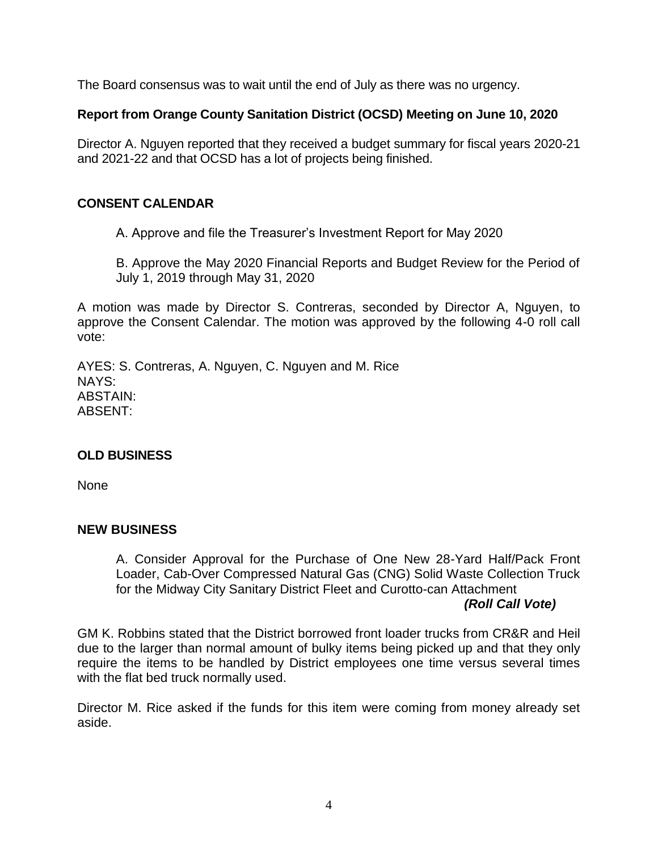The Board consensus was to wait until the end of July as there was no urgency.

# **Report from Orange County Sanitation District (OCSD) Meeting on June 10, 2020**

Director A. Nguyen reported that they received a budget summary for fiscal years 2020-21 and 2021-22 and that OCSD has a lot of projects being finished.

# **CONSENT CALENDAR**

A. Approve and file the Treasurer's Investment Report for May 2020

B. Approve the May 2020 Financial Reports and Budget Review for the Period of July 1, 2019 through May 31, 2020

A motion was made by Director S. Contreras, seconded by Director A, Nguyen, to approve the Consent Calendar. The motion was approved by the following 4-0 roll call vote:

AYES: S. Contreras, A. Nguyen, C. Nguyen and M. Rice NAYS: ABSTAIN: ABSENT:

# **OLD BUSINESS**

None

# **NEW BUSINESS**

A. Consider Approval for the Purchase of One New 28-Yard Half/Pack Front Loader, Cab-Over Compressed Natural Gas (CNG) Solid Waste Collection Truck for the Midway City Sanitary District Fleet and Curotto-can Attachment

# *(Roll Call Vote)*

GM K. Robbins stated that the District borrowed front loader trucks from CR&R and Heil due to the larger than normal amount of bulky items being picked up and that they only require the items to be handled by District employees one time versus several times with the flat bed truck normally used.

Director M. Rice asked if the funds for this item were coming from money already set aside.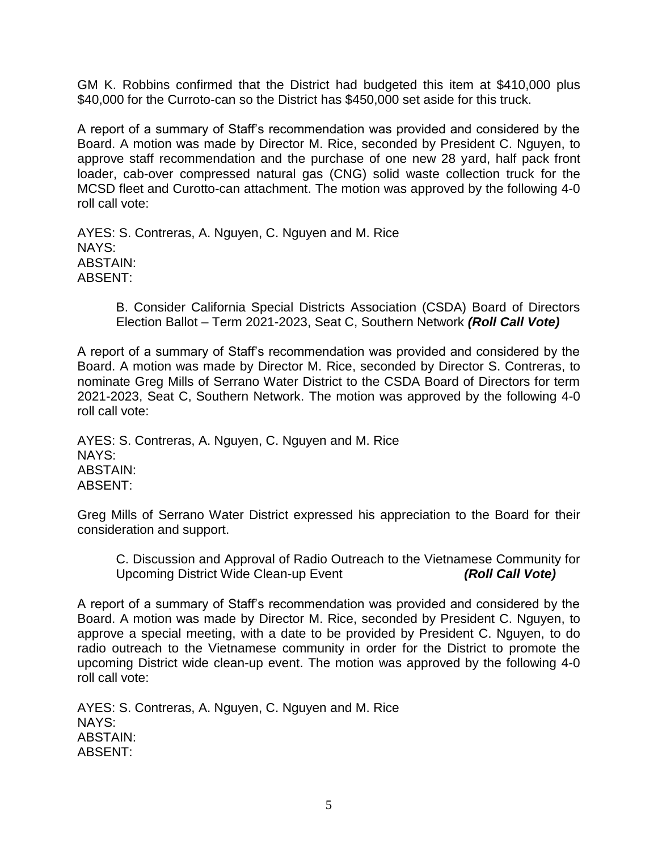GM K. Robbins confirmed that the District had budgeted this item at \$410,000 plus \$40,000 for the Curroto-can so the District has \$450,000 set aside for this truck.

A report of a summary of Staff's recommendation was provided and considered by the Board. A motion was made by Director M. Rice, seconded by President C. Nguyen, to approve staff recommendation and the purchase of one new 28 yard, half pack front loader, cab-over compressed natural gas (CNG) solid waste collection truck for the MCSD fleet and Curotto-can attachment. The motion was approved by the following 4-0 roll call vote:

AYES: S. Contreras, A. Nguyen, C. Nguyen and M. Rice NAYS: ABSTAIN: ABSENT:

> B. Consider California Special Districts Association (CSDA) Board of Directors Election Ballot – Term 2021-2023, Seat C, Southern Network *(Roll Call Vote)*

A report of a summary of Staff's recommendation was provided and considered by the Board. A motion was made by Director M. Rice, seconded by Director S. Contreras, to nominate Greg Mills of Serrano Water District to the CSDA Board of Directors for term 2021-2023, Seat C, Southern Network. The motion was approved by the following 4-0 roll call vote:

AYES: S. Contreras, A. Nguyen, C. Nguyen and M. Rice NAYS: ABSTAIN: ABSENT:

Greg Mills of Serrano Water District expressed his appreciation to the Board for their consideration and support.

C. Discussion and Approval of Radio Outreach to the Vietnamese Community for Upcoming District Wide Clean-up Event *(Roll Call Vote)*

A report of a summary of Staff's recommendation was provided and considered by the Board. A motion was made by Director M. Rice, seconded by President C. Nguyen, to approve a special meeting, with a date to be provided by President C. Nguyen, to do radio outreach to the Vietnamese community in order for the District to promote the upcoming District wide clean-up event. The motion was approved by the following 4-0 roll call vote:

AYES: S. Contreras, A. Nguyen, C. Nguyen and M. Rice NAYS: ABSTAIN: ABSENT: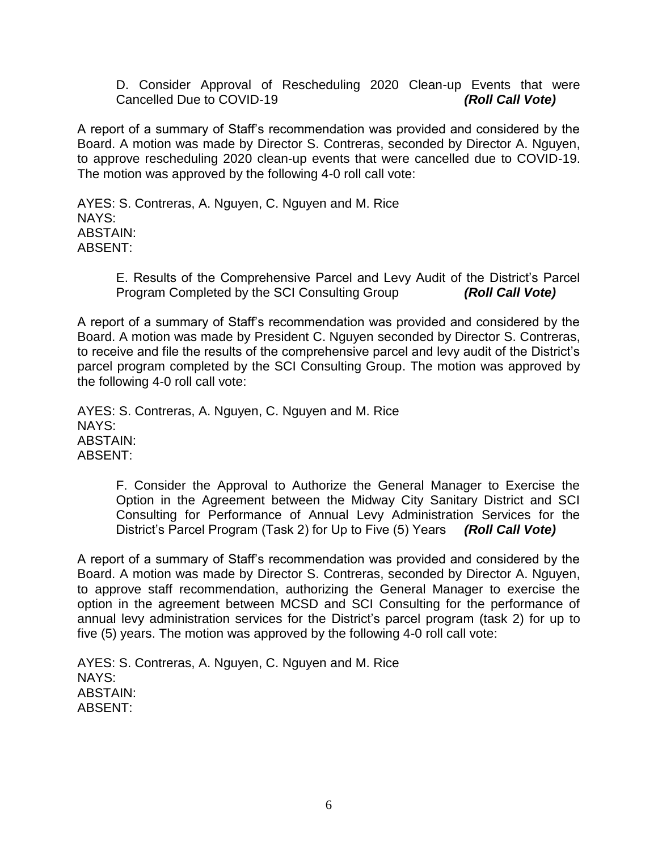D. Consider Approval of Rescheduling 2020 Clean-up Events that were Cancelled Due to COVID-19 *(Roll Call Vote)*

A report of a summary of Staff's recommendation was provided and considered by the Board. A motion was made by Director S. Contreras, seconded by Director A. Nguyen, to approve rescheduling 2020 clean-up events that were cancelled due to COVID-19. The motion was approved by the following 4-0 roll call vote:

AYES: S. Contreras, A. Nguyen, C. Nguyen and M. Rice NAYS: ABSTAIN: ABSENT:

> E. Results of the Comprehensive Parcel and Levy Audit of the District's Parcel Program Completed by the SCI Consulting Group *(Roll Call Vote)*

A report of a summary of Staff's recommendation was provided and considered by the Board. A motion was made by President C. Nguyen seconded by Director S. Contreras, to receive and file the results of the comprehensive parcel and levy audit of the District's parcel program completed by the SCI Consulting Group. The motion was approved by the following 4-0 roll call vote:

AYES: S. Contreras, A. Nguyen, C. Nguyen and M. Rice NAYS: ABSTAIN: ABSENT:

> F. Consider the Approval to Authorize the General Manager to Exercise the Option in the Agreement between the Midway City Sanitary District and SCI Consulting for Performance of Annual Levy Administration Services for the District's Parcel Program (Task 2) for Up to Five (5) Years *(Roll Call Vote)*

A report of a summary of Staff's recommendation was provided and considered by the Board. A motion was made by Director S. Contreras, seconded by Director A. Nguyen, to approve staff recommendation, authorizing the General Manager to exercise the option in the agreement between MCSD and SCI Consulting for the performance of annual levy administration services for the District's parcel program (task 2) for up to five (5) years. The motion was approved by the following 4-0 roll call vote:

AYES: S. Contreras, A. Nguyen, C. Nguyen and M. Rice NAYS: ABSTAIN: ABSENT: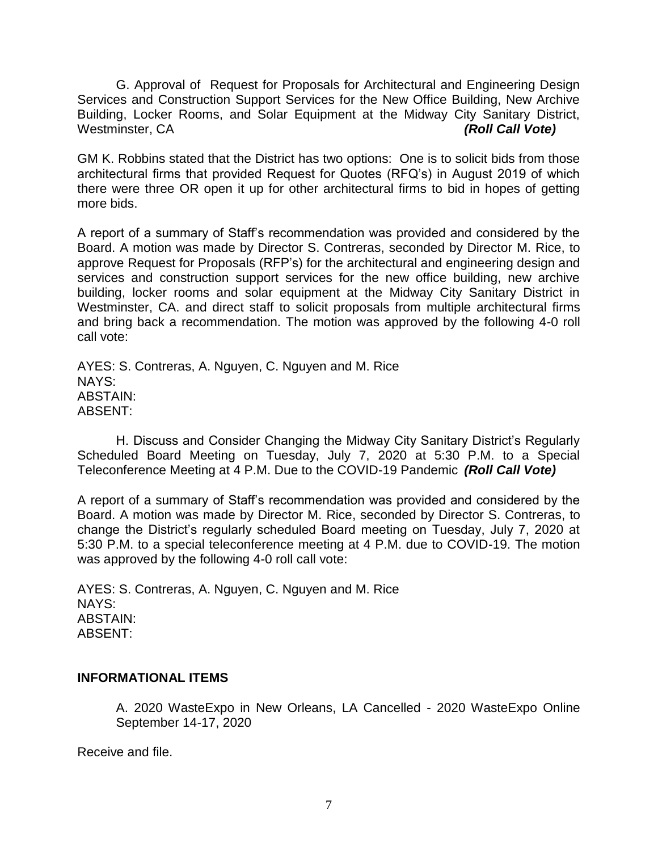G. Approval of Request for Proposals for Architectural and Engineering Design Services and Construction Support Services for the New Office Building, New Archive Building, Locker Rooms, and Solar Equipment at the Midway City Sanitary District, Westminster, CA *(Roll Call Vote)*

GM K. Robbins stated that the District has two options: One is to solicit bids from those architectural firms that provided Request for Quotes (RFQ's) in August 2019 of which there were three OR open it up for other architectural firms to bid in hopes of getting more bids.

A report of a summary of Staff's recommendation was provided and considered by the Board. A motion was made by Director S. Contreras, seconded by Director M. Rice, to approve Request for Proposals (RFP's) for the architectural and engineering design and services and construction support services for the new office building, new archive building, locker rooms and solar equipment at the Midway City Sanitary District in Westminster, CA. and direct staff to solicit proposals from multiple architectural firms and bring back a recommendation. The motion was approved by the following 4-0 roll call vote:

AYES: S. Contreras, A. Nguyen, C. Nguyen and M. Rice NAYS: ABSTAIN: ABSENT:

H. Discuss and Consider Changing the Midway City Sanitary District's Regularly Scheduled Board Meeting on Tuesday, July 7, 2020 at 5:30 P.M. to a Special Teleconference Meeting at 4 P.M. Due to the COVID-19 Pandemic *(Roll Call Vote)*

A report of a summary of Staff's recommendation was provided and considered by the Board. A motion was made by Director M. Rice, seconded by Director S. Contreras, to change the District's regularly scheduled Board meeting on Tuesday, July 7, 2020 at 5:30 P.M. to a special teleconference meeting at 4 P.M. due to COVID-19. The motion was approved by the following 4-0 roll call vote:

AYES: S. Contreras, A. Nguyen, C. Nguyen and M. Rice NAYS: ABSTAIN: ABSENT:

# **INFORMATIONAL ITEMS**

A. 2020 WasteExpo in New Orleans, LA Cancelled - 2020 WasteExpo Online September 14-17, 2020

Receive and file.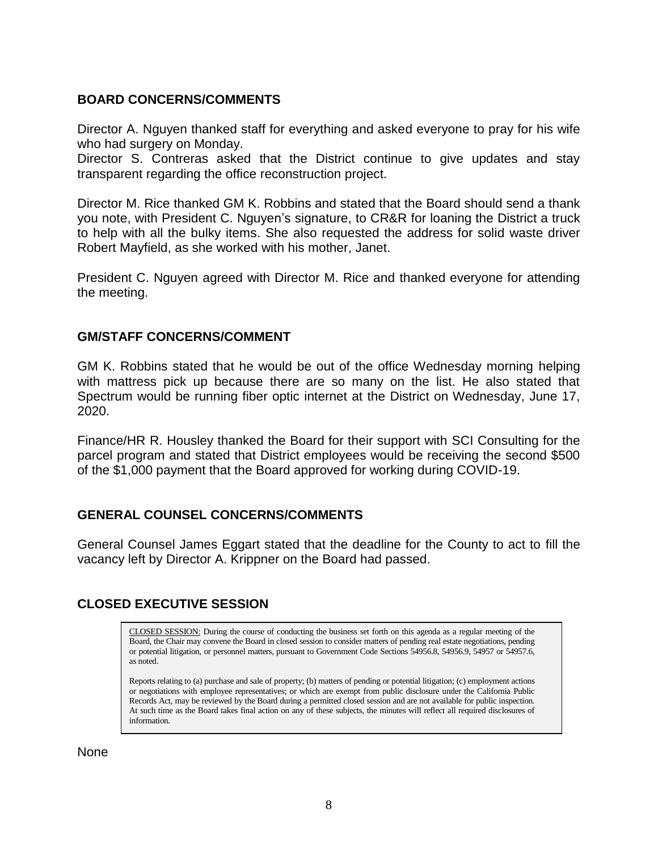# **BOARD CONCERNS/COMMENTS**

Director A. Nguyen thanked staff for everything and asked everyone to pray for his wife who had surgery on Monday.

Director S. Contreras asked that the District continue to give updates and stay transparent regarding the office reconstruction project.

Director M. Rice thanked GM K. Robbins and stated that the Board should send a thank you note, with President C. Nguyen's signature, to CR&R for loaning the District a truck to help with all the bulky items. She also requested the address for solid waste driver Robert Mayfield, as she worked with his mother, Janet.

President C. Nguyen agreed with Director M. Rice and thanked everyone for attending the meeting.

# **GM/STAFF CONCERNS/COMMENT**

GM K. Robbins stated that he would be out of the office Wednesday morning helping with mattress pick up because there are so many on the list. He also stated that Spectrum would be running fiber optic internet at the District on Wednesday, June 17, 2020.

Finance/HR R. Housley thanked the Board for their support with SCI Consulting for the parcel program and stated that District employees would be receiving the second \$500 of the \$1,000 payment that the Board approved for working during COVID-19.

# **GENERAL COUNSEL CONCERNS/COMMENTS**

General Counsel James Eggart stated that the deadline for the County to act to fill the vacancy left by Director A. Krippner on the Board had passed.

# **CLOSED EXECUTIVE SESSION**

CLOSED SESSION: During the course of conducting the business set forth on this agenda as a regular meeting of the Board, the Chair may convene the Board in closed session to consider matters of pending real estate negotiations, pending or potential litigation, or personnel matters, pursuant to Government Code Sections 54956.8, 54956.9, 54957 or 54957.6, as noted.

Reports relating to (a) purchase and sale of property; (b) matters of pending or potential litigation; (c) employment actions or negotiations with employee representatives; or which are exempt from public disclosure under the California Public Records Act, may be reviewed by the Board during a permitted closed session and are not available for public inspection. At such time as the Board takes final action on any of these subjects, the minutes will reflect all required disclosures of information.

None